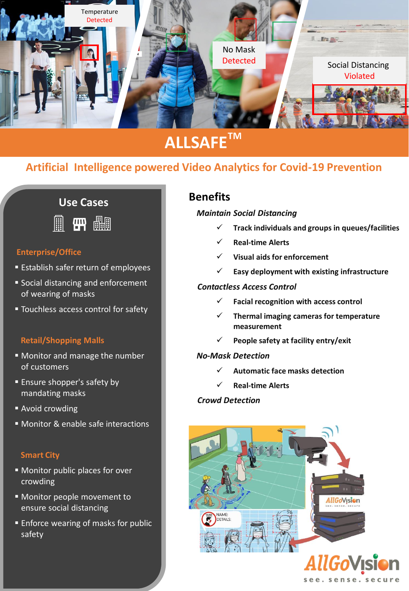

# **ALLSAFETM**

## **Artificial Intelligence powered Video Analytics for Covid-19 Prevention**

# **Use Cases**



### **Enterprise/Office**

- Establish safer return of employees
- Social distancing and enforcement of wearing of masks
- Touchless access control for safety

#### **Retail/Shopping Malls**

- Monitor and manage the number of customers
- **Ensure shopper's safety by** mandating masks
- Avoid crowding
- Monitor & enable safe interactions

#### **Smart City**

- Monitor public places for over crowding
- **EXPLO MONET MONET MONET TO** ensure social distancing
- **Enforce wearing of masks for public** safety

### **Benefits**

#### *Maintain Social Distancing*

- ✓ **Track individuals and groups in queues/facilities**
- ✓ **Real-time Alerts**
- **Visual aids for enforcement**
- ✓ **Easy deployment with existing infrastructure**

#### *Contactless Access Control*

- ✓ **Facial recognition with access control**
- ✓ **Thermal imaging cameras for temperature measurement**
- ✓ **People safety at facility entry/exit**

#### *No-Mask Detection*

- ✓ **Automatic face masks detection**
- ✓ **Real-time Alerts**

#### *Crowd Detection*



see, sense, secure